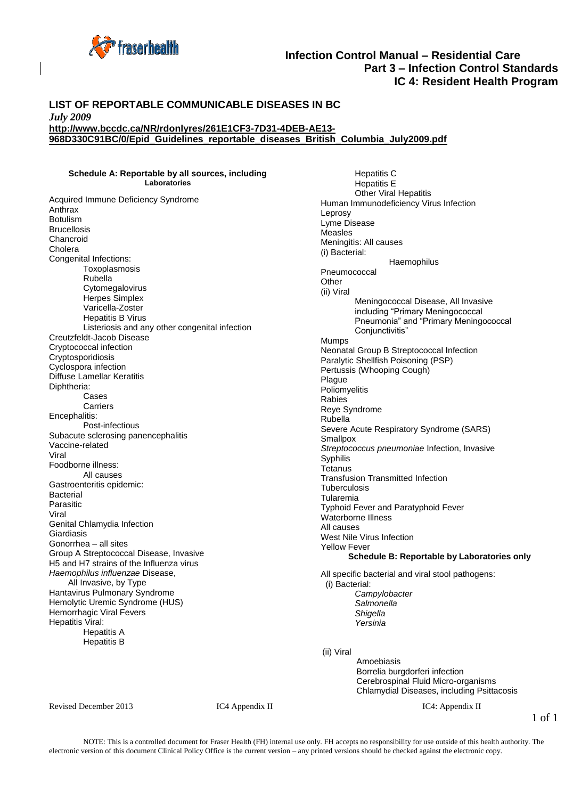

### **Infection Control Manual – Residential Care Part 3 – Infection Control Standards IC 4: Resident Health Program**

#### **LIST OF REPORTABLE COMMUNICABLE DISEASES IN BC**  *July 2009* **http://www.bccdc.ca/NR/rdonlyres/261E1CF3-7D31-4DEB-AE13- 968D330C91BC/0/Epid\_Guidelines\_reportable\_diseases\_British\_Columbia\_July2009.pdf**

# **Schedule A: Reportable by all sources, including**

**Laboratories** 

Acquired Immune Deficiency Syndrome Anthrax Botulism Brucellosis Chancroid Cholera Congenital Infections: Toxoplasmosis Rubella Cytomegalovirus Herpes Simplex Varicella-Zoster Hepatitis B Virus Listeriosis and any other congenital infection Creutzfeldt-Jacob Disease Cryptococcal infection **Cryptosporidiosis** Cyclospora infection Diffuse Lamellar Keratitis Diphtheria: Cases Carriers Encephalitis: Post-infectious Subacute sclerosing panencephalitis Vaccine-related Viral Foodborne illness: All causes Gastroenteritis epidemic: **Bacterial** Parasitic Viral Genital Chlamydia Infection **Giardiasis** Gonorrhea – all sites Group A Streptococcal Disease, Invasive H5 and H7 strains of the Influenza virus *Haemophilus influenzae* Disease, All Invasive, by Type Hantavirus Pulmonary Syndrome Hemolytic Uremic Syndrome (HUS) Hemorrhagic Viral Fevers Hepatitis Viral: Hepatitis A Hepatitis B

Hepatitis C Hepatitis E Other Viral Hepatitis Human Immunodeficiency Virus Infection Leprosy Lyme Disease Measles Meningitis: All causes (i) Bacterial: **Haemophilus** Pneumococcal Other (ii) Viral Meningococcal Disease, All Invasive including "Primary Meningococcal Pneumonia" and "Primary Meningococcal Conjunctivitis" Mumps Neonatal Group B Streptococcal Infection Paralytic Shellfish Poisoning (PSP) Pertussis (Whooping Cough) Plague **Poliomyelitis** Rabies Reye Syndrome Rubella Severe Acute Respiratory Syndrome (SARS) **Smallpox** *Streptococcus pneumoniae* Infection, Invasive Syphilis **Tetanus** Transfusion Transmitted Infection **Tuberculosis** Tularemia Typhoid Fever and Paratyphoid Fever Waterborne Illness All causes West Nile Virus Infection Yellow Fever **Schedule B: Reportable by Laboratories only**  All specific bacterial and viral stool pathogens: (i) Bacterial: *Campylobacter Salmonella Shigella* 

(ii) Viral

*Yersinia* 

Amoebiasis Borrelia burgdorferi infection Cerebrospinal Fluid Micro-organisms Chlamydial Diseases, including Psittacosis

Revised December 2013 **IC4** Appendix II **IC4:** Appendix II

1 of 1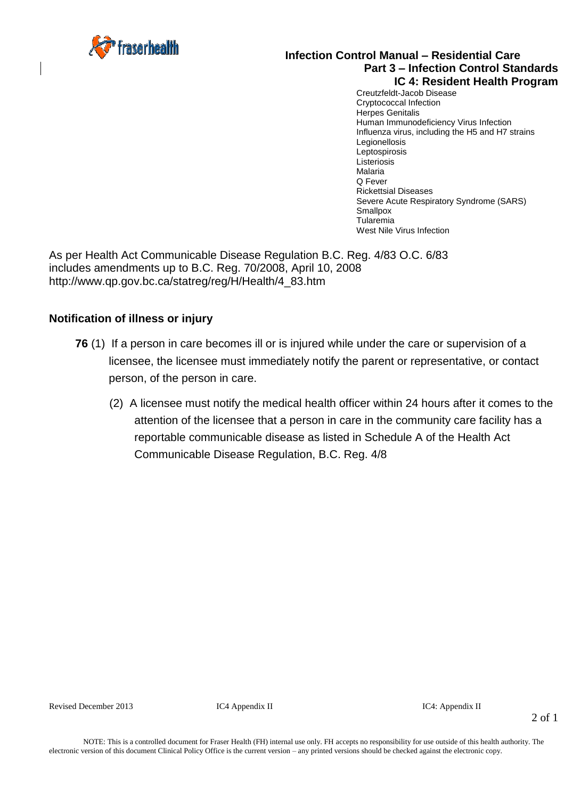

### **Infection Control Manual – Residential Care Part 3 – Infection Control Standards IC 4: Resident Health Program**

Creutzfeldt-Jacob Disease Cryptococcal Infection Herpes Genitalis Human Immunodeficiency Virus Infection Influenza virus, including the H5 and H7 strains **Legionellosis** Leptospirosis Listeriosis Malaria Q Fever Rickettsial Diseases Severe Acute Respiratory Syndrome (SARS) **Smallpox** Tularemia West Nile Virus Infection

As per Health Act Communicable Disease Regulation B.C. Reg. 4/83 O.C. 6/83 includes amendments up to B.C. Reg. 70/2008, April 10, 2008 http://www.qp.gov.bc.ca/statreg/reg/H/Health/4\_83.htm

## **Notification of illness or injury**

- **76** (1) If a person in care becomes ill or is injured while under the care or supervision of a licensee, the licensee must immediately notify the parent or representative, or contact person, of the person in care.
	- (2) A licensee must notify the medical health officer within 24 hours after it comes to the attention of the licensee that a person in care in the community care facility has a reportable communicable disease as listed in Schedule A of the Health Act Communicable Disease Regulation, B.C. Reg. 4/8

Revised December 2013 **IC4** Appendix II **IC4:** Appendix II